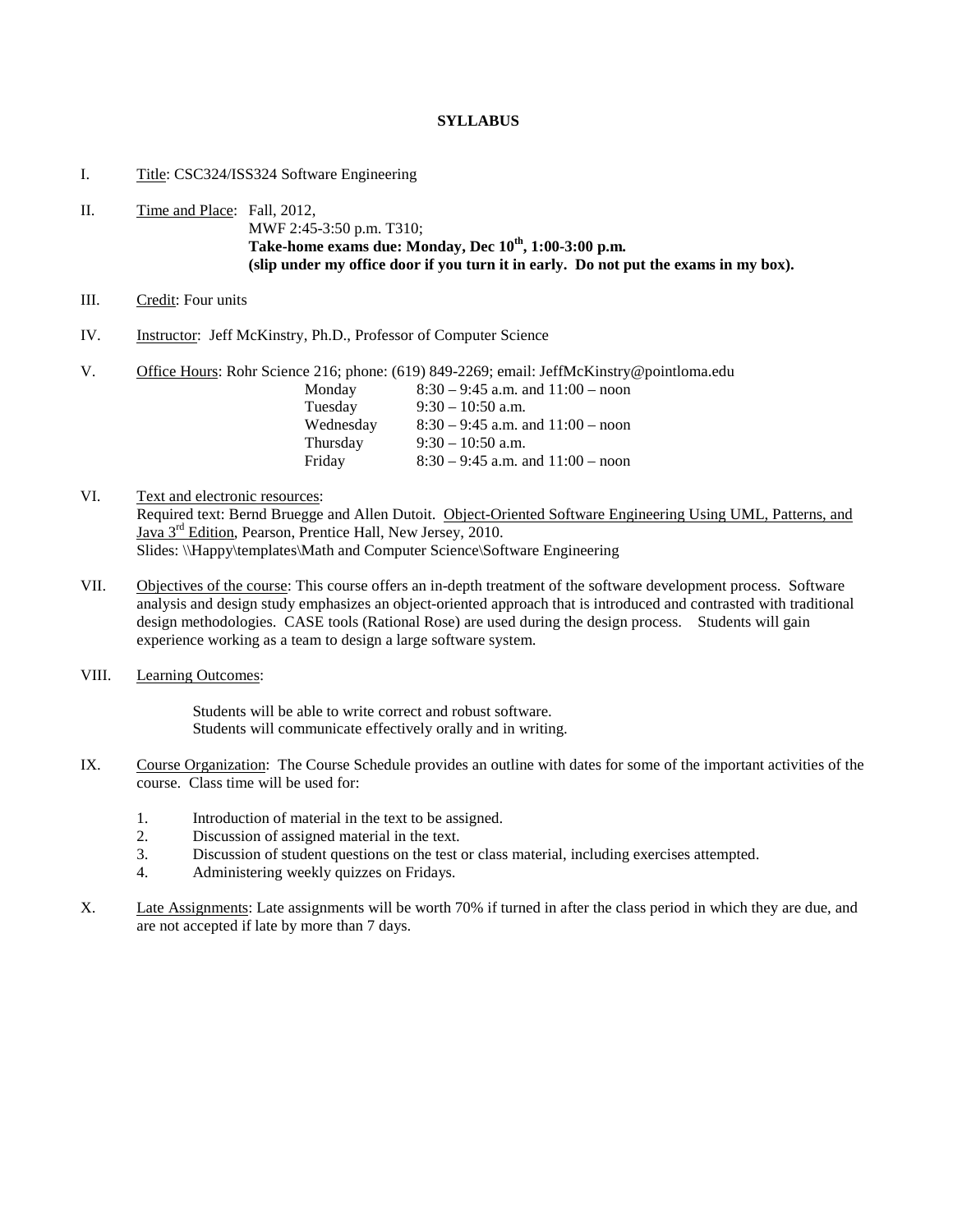## **SYLLABUS**

# I. Title: CSC324/ISS324 Software Engineering

# II. Time and Place: Fall, 2012, MWF 2:45-3:50 p.m. T310; **Take-home exams due: Monday, Dec 10th, 1:00-3:00 p.m. (slip under my office door if you turn it in early. Do not put the exams in my box).**

#### III. Credit: Four units

- IV. Instructor: Jeff McKinstry, Ph.D., Professor of Computer Science
- V. Office Hours: Rohr Science 216; phone: (619) 849-2269; email: JeffMcKinstry@pointloma.edu Monday 8:30 – 9:45 a.m. and 11:00 – noon Tuesday 9:30 – 10:50 a.m. Wednesday 8:30 – 9:45 a.m. and 11:00 – noon Thursday 9:30 – 10:50 a.m.<br>Friday 8:30 – 9:45 a.m. a  $8:30 - 9:45$  a.m. and  $11:00 -$  noon
- VI. Text and electronic resources: Required text: Bernd Bruegge and Allen Dutoit. Object-Oriented Software Engineering Using UML, Patterns, and Java 3<sup>rd</sup> Edition, Pearson, Prentice Hall, New Jersey, 2010. Slides: \\Happy\templates\Math and Computer Science\Software Engineering
- VII. Objectives of the course: This course offers an in-depth treatment of the software development process. Software analysis and design study emphasizes an object-oriented approach that is introduced and contrasted with traditional design methodologies. CASE tools (Rational Rose) are used during the design process. Students will gain experience working as a team to design a large software system.
- VIII. Learning Outcomes:

Students will be able to write correct and robust software. Students will communicate effectively orally and in writing.

- IX. Course Organization: The Course Schedule provides an outline with dates for some of the important activities of the course. Class time will be used for:
	- 1. Introduction of material in the text to be assigned.
	- 2. Discussion of assigned material in the text.
	- 3. Discussion of student questions on the test or class material, including exercises attempted.
	- 4. Administering weekly quizzes on Fridays.
- X. Late Assignments: Late assignments will be worth 70% if turned in after the class period in which they are due, and are not accepted if late by more than 7 days.